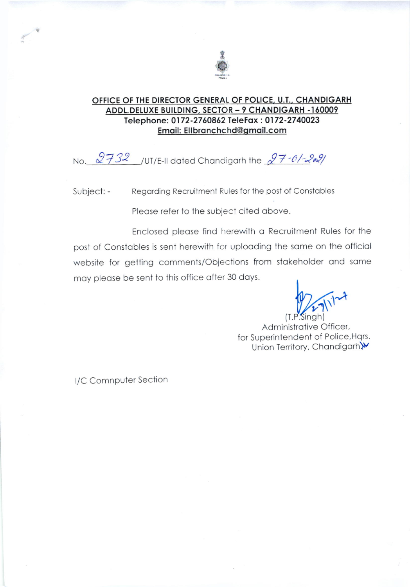

### OFFICE OF THE DIRECTOR GENERAL OF POLICE, U.T., CHANDIGARH ADDL.DELUXE BUILDING, SECTOR - 9 CHANDIGARH -160009 Telephone: 0172-2760862 TeleFax: 0172-2740023 Email: Ellbranchchd@gmail.com

No.  $2732$  /UT/E-II dated Chandigarh the  $27 - 0$ /-2021

Regarding Recruitment Rules for the post of Constables Subject: -

Please refer to the subject cited above.

Enclosed please find herewith a Recruitment Rules for the post of Constables is sent herewith for uploading the same on the official website for getting comments/Objections from stakeholder and same may please be sent to this office after 30 days.

Administrative Officer, for Superintendent of Police, Hqrs. Union Territory, Chandigarh.W

I/C Comnputer Section